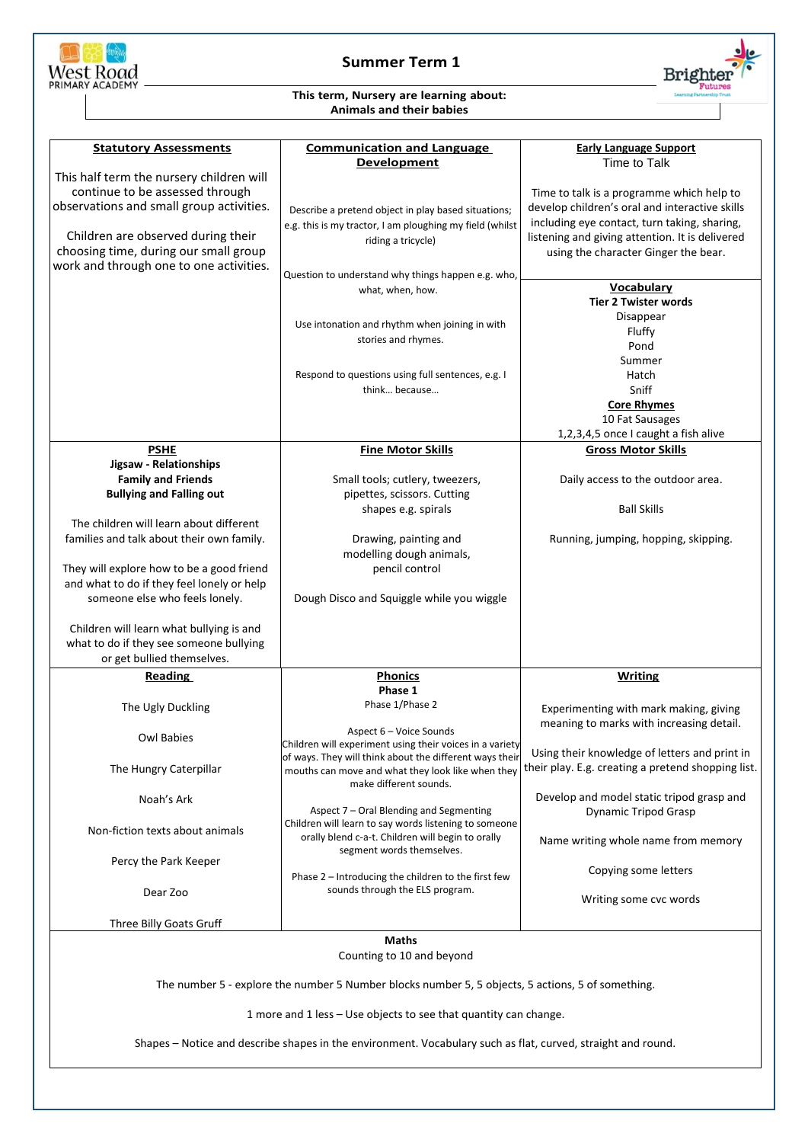

1 more and 1 less – Use objects to see that quantity can change.

Shapes – Notice and describe shapes in the environment. Vocabulary such as flat, curved, straight and round.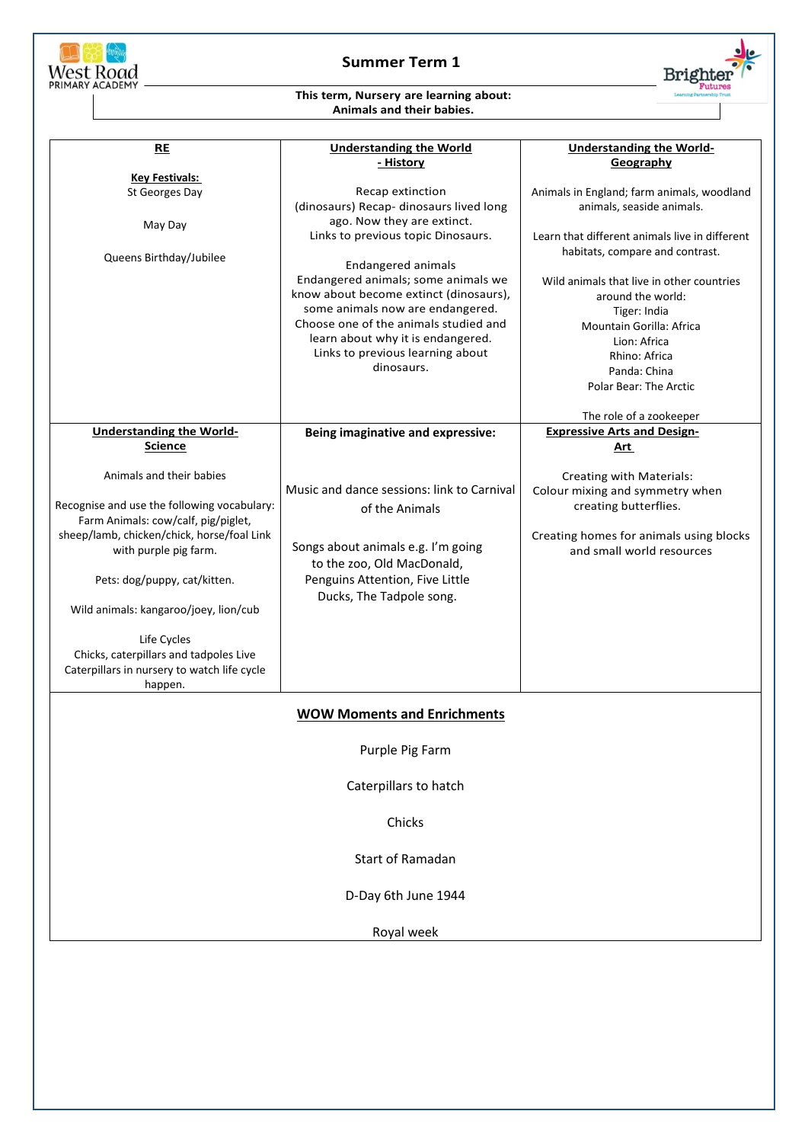

## **Summer Term 1**

**Brighter** 

## **This term, Nursery are learning about: Animals and their babies.**

| RE                                          | <b>Understanding the World</b>             | <b>Understanding the World-</b>                |
|---------------------------------------------|--------------------------------------------|------------------------------------------------|
|                                             | - History                                  | Geography                                      |
| <b>Key Festivals:</b>                       |                                            |                                                |
| St Georges Day                              | Recap extinction                           | Animals in England; farm animals, woodland     |
|                                             | (dinosaurs) Recap- dinosaurs lived long    | animals, seaside animals.                      |
| May Day                                     | ago. Now they are extinct.                 |                                                |
|                                             | Links to previous topic Dinosaurs.         | Learn that different animals live in different |
| Queens Birthday/Jubilee                     |                                            | habitats, compare and contrast.                |
|                                             | <b>Endangered animals</b>                  |                                                |
|                                             | Endangered animals; some animals we        | Wild animals that live in other countries      |
|                                             | know about become extinct (dinosaurs),     | around the world:                              |
|                                             | some animals now are endangered.           | Tiger: India                                   |
|                                             | Choose one of the animals studied and      | <b>Mountain Gorilla: Africa</b>                |
|                                             | learn about why it is endangered.          | Lion: Africa                                   |
|                                             | Links to previous learning about           | Rhino: Africa                                  |
|                                             | dinosaurs.                                 | Panda: China                                   |
|                                             |                                            | Polar Bear: The Arctic                         |
|                                             |                                            |                                                |
|                                             |                                            | The role of a zookeeper                        |
| <b>Understanding the World-</b>             | Being imaginative and expressive:          | <b>Expressive Arts and Design-</b>             |
| <b>Science</b>                              |                                            | Art                                            |
|                                             |                                            |                                                |
| Animals and their babies                    |                                            | Creating with Materials:                       |
|                                             | Music and dance sessions: link to Carnival | Colour mixing and symmetry when                |
| Recognise and use the following vocabulary: | of the Animals                             | creating butterflies.                          |
| Farm Animals: cow/calf, pig/piglet,         |                                            |                                                |
| sheep/lamb, chicken/chick, horse/foal Link  |                                            | Creating homes for animals using blocks        |
| with purple pig farm.                       | Songs about animals e.g. I'm going         | and small world resources                      |
|                                             | to the zoo, Old MacDonald,                 |                                                |
| Pets: dog/puppy, cat/kitten.                | Penguins Attention, Five Little            |                                                |
|                                             | Ducks, The Tadpole song.                   |                                                |
| Wild animals: kangaroo/joey, lion/cub       |                                            |                                                |
|                                             |                                            |                                                |
| Life Cycles                                 |                                            |                                                |
| Chicks, caterpillars and tadpoles Live      |                                            |                                                |
| Caterpillars in nursery to watch life cycle |                                            |                                                |
| happen.                                     |                                            |                                                |
|                                             |                                            |                                                |
| <b>WOW Moments and Enrichments</b>          |                                            |                                                |
|                                             |                                            |                                                |
|                                             | Purple Pig Farm                            |                                                |
|                                             |                                            |                                                |
|                                             | Caterpillars to hatch                      |                                                |
|                                             |                                            |                                                |
|                                             |                                            |                                                |
| Chicks                                      |                                            |                                                |
|                                             |                                            |                                                |
| Start of Ramadan                            |                                            |                                                |
|                                             |                                            |                                                |
|                                             |                                            |                                                |
|                                             | D-Day 6th June 1944                        |                                                |
|                                             |                                            |                                                |
| Royal week                                  |                                            |                                                |